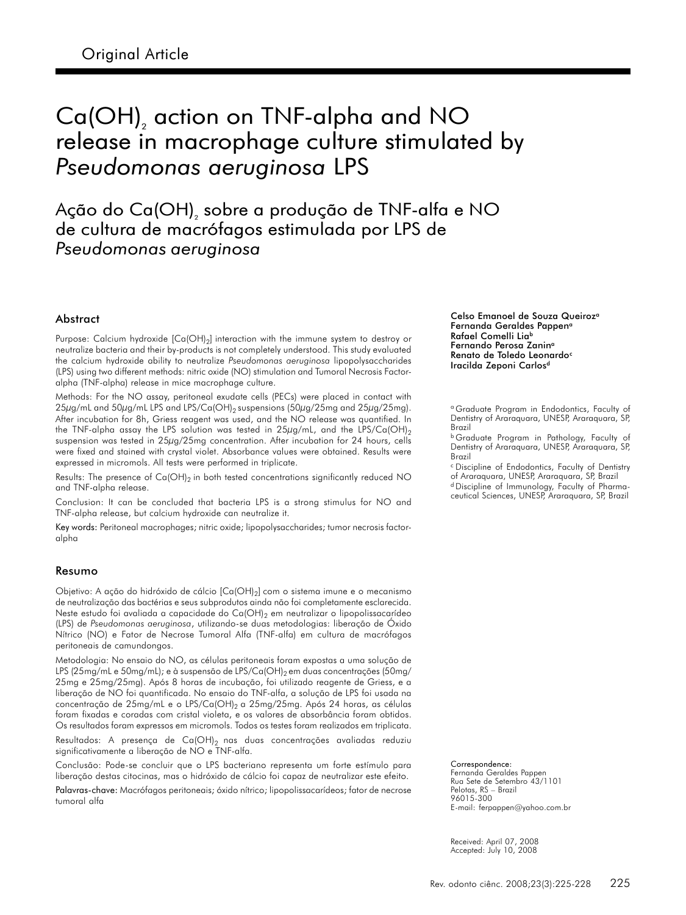# Ca(OH), action on TNF-alpha and NO release in macrophage culture stimulated by Pseudomonas aeruginosa LPS

Ação do Ca(OH), sobre a produção de TNF-alfa e NO de cultura de macrófagos estimulada por LPS de Pseudomonas aeruginosa

#### Abstract

Purpose: Calcium hydroxide  $[Ca(OH)_2]$  interaction with the immune system to destroy or neutralize bacteria and their by-products is not completely understood. This study evaluated the calcium hydroxide ability to neutralize Pseudomonas aeruginosa lipopolysaccharides (LPS) using two different methods: nitric oxide (NO) stimulation and Tumoral Necrosis Factoralpha (TNF-alpha) release in mice macrophage culture.

Methods: For the NO assay, peritoneal exudate cells (PECs) were placed in contact with 25µg/mL and 50µg/mL LPS and LPS/Ca(OH)<sub>2</sub> suspensions (50µg/25mg and 25µg/25mg). After incubation for 8h, Griess reagent was used, and the NO release was quantified. In the TNF-alpha assay the LPS solution was tested in  $25\mu g/mL$ , and the LPS/Ca(OH)<sub>2</sub> suspension was tested in 25µg/25mg concentration. After incubation for 24 hours, cells were fixed and stained with crystal violet. Absorbance values were obtained. Results were expressed in micromols. All tests were performed in triplicate.

Results: The presence of  $Ca(OH)_2$  in both tested concentrations significantly reduced NO and TNF-alpha release.

Conclusion: It can be concluded that bacteria LPS is a strong stimulus for NO and TNF-alpha release, but calcium hydroxide can neutralize it.

Key words: Peritoneal macrophages; nitric oxide; lipopolysaccharides; tumor necrosis factoralpha

#### Resumo

Objetivo: A ação do hidróxido de cálcio [Ca(OH)<sub>2</sub>] com o sistema imune e o mecanismo de neutralização das bactérias e seus subprodutos ainda não foi completamente esclarecida. Neste estudo foi avaliada a capacidade do  $Ca(OH)_2$  em neutralizar o lipopolissacarídeo (LPS) de Pseudomonas aeruginosa, utilizando-se duas metodologias: liberação de Óxido Nítrico (NO) e Fator de Necrose Tumoral Alfa (TNF-alfa) em cultura de macrófagos peritoneais de camundongos.

Metodologia: No ensaio do NO, as células peritoneais foram expostas a uma solução de LPS (25mg/mL e 50mg/mL); e à suspensão de LPS/Ca(OH)<sub>2</sub> em duas concentrações (50mg/ 25mg e 25mg/25mg). Após 8 horas de incubação, foi utilizado reagente de Griess, e a liberação de NO foi quantificada. No ensaio do TNF-alfa, a solução de LPS foi usada na concentração de 25mg/mL e o LPS/Ca(OH)<sub>2</sub> a 25mg/25mg. Após 24 horas, as células foram fixadas e coradas com cristal violeta, e os valores de absorbância foram obtidos. Os resultados foram expressos em micromols. Todos os testes foram realizados em triplicata.

Resultados: A presença de Ca(OH)<sub>2</sub> nas duas concentrações avaliadas reduziu significativamente a liberação de NO e TNF-alfa.

Conclusão: Pode-se concluir que o LPS bacteriano representa um forte estímulo para liberação destas citocinas, mas o hidróxido de cálcio foi capaz de neutralizar este efeito.

Palavras-chave: Macrófagos peritoneais; óxido nítrico; lipopolissacarídeos; fator de necrose tumoral alfa

Celso Emanoel de Souza Queiroz<sup>a</sup> Fernanda Geraldes Pappen<sup>a</sup> Rafael Comelli Lia<sup>b</sup> Fernando Perosa Zanin<sup>a</sup> Renato de Toledo Leonardo<sup>c</sup> Iracilda Zeponi Carlos<sup>d</sup>

<sup>a</sup> Graduate Program in Endodontics, Faculty of Dentistry of Araraquara, UNESP, Araraquara, SP, Brazil

<sup>b</sup> Graduate Program in Pathology, Faculty of Dentistry of Araraquara, UNESP, Araraquara, SP, Brazil

<sup>c</sup> Discipline of Endodontics, Faculty of Dentistry of Araraquara, UNESP, Araraquara, SP, Brazil <sup>d</sup> Discipline of Immunology, Faculty of Pharmaceutical Sciences, UNESP, Araraquara, SP, Brazil

Correspondence:

Fernanda Geraldes Pappen Rua Sete de Setembro 43/1101 Pelotas, RS – Brazil 96015-300 E-mail: ferpappen@yahoo.com.br

Received: April 07, 2008 Accepted: July 10, 2008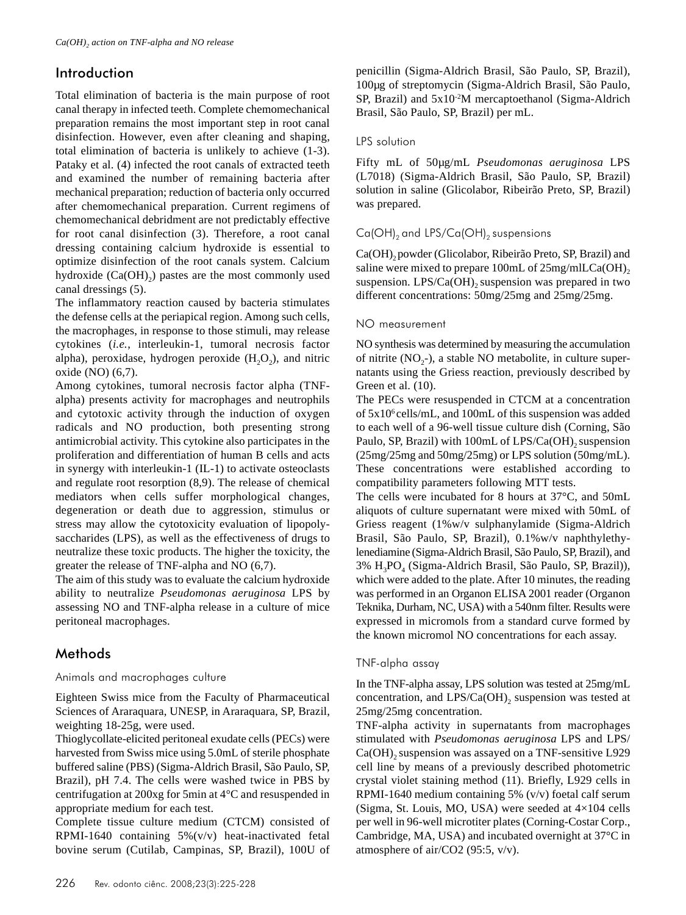# Introduction

Total elimination of bacteria is the main purpose of root canal therapy in infected teeth. Complete chemomechanical preparation remains the most important step in root canal disinfection. However, even after cleaning and shaping, total elimination of bacteria is unlikely to achieve (1-3). Pataky et al. (4) infected the root canals of extracted teeth and examined the number of remaining bacteria after mechanical preparation; reduction of bacteria only occurred after chemomechanical preparation. Current regimens of chemomechanical debridment are not predictably effective for root canal disinfection (3). Therefore, a root canal dressing containing calcium hydroxide is essential to optimize disinfection of the root canals system. Calcium hydroxide  $(Ca(OH<sub>2</sub>))$  pastes are the most commonly used canal dressings (5).

The inflammatory reaction caused by bacteria stimulates the defense cells at the periapical region. Among such cells, the macrophages, in response to those stimuli, may release cytokines (*i.e.*, interleukin-1, tumoral necrosis factor alpha), peroxidase, hydrogen peroxide  $(H<sub>2</sub>O<sub>2</sub>)$ , and nitric oxide (NO) (6,7).

Among cytokines, tumoral necrosis factor alpha (TNFalpha) presents activity for macrophages and neutrophils and cytotoxic activity through the induction of oxygen radicals and NO production, both presenting strong antimicrobial activity. This cytokine also participates in the proliferation and differentiation of human B cells and acts in synergy with interleukin-1 (IL-1) to activate osteoclasts and regulate root resorption (8,9). The release of chemical mediators when cells suffer morphological changes, degeneration or death due to aggression, stimulus or stress may allow the cytotoxicity evaluation of lipopolysaccharides (LPS), as well as the effectiveness of drugs to neutralize these toxic products. The higher the toxicity, the greater the release of TNF-alpha and NO (6,7).

The aim of this study was to evaluate the calcium hydroxide ability to neutralize *Pseudomonas aeruginosa* LPS by assessing NO and TNF-alpha release in a culture of mice peritoneal macrophages.

# **Methods**

#### Animals and macrophages culture

Eighteen Swiss mice from the Faculty of Pharmaceutical Sciences of Araraquara, UNESP, in Araraquara, SP, Brazil, weighting 18-25g, were used.

Thioglycollate-elicited peritoneal exudate cells (PECs) were harvested from Swiss mice using 5.0mL of sterile phosphate buffered saline (PBS) (Sigma-Aldrich Brasil, São Paulo, SP, Brazil), pH 7.4. The cells were washed twice in PBS by centrifugation at 200xg for 5min at 4°C and resuspended in appropriate medium for each test.

Complete tissue culture medium (CTCM) consisted of RPMI-1640 containing 5%(v/v) heat-inactivated fetal bovine serum (Cutilab, Campinas, SP, Brazil), 100U of penicillin (Sigma-Aldrich Brasil, São Paulo, SP, Brazil), 100µg of streptomycin (Sigma-Aldrich Brasil, São Paulo, SP, Brazil) and  $5x10<sup>-2</sup>M$  mercaptoethanol (Sigma-Aldrich Brasil, São Paulo, SP, Brazil) per mL.

## LPS solution

Fifty mL of 50µg/mL *Pseudomonas aeruginosa* LPS (L7018) (Sigma-Aldrich Brasil, São Paulo, SP, Brazil) solution in saline (Glicolabor, Ribeirão Preto, SP, Brazil) was prepared.

# $Ca(OH)_{2}$  and LPS/Ca(OH)<sub>2</sub> suspensions

Ca(OH)<sub>2</sub> powder (Glicolabor, Ribeirão Preto, SP, Brazil) and saline were mixed to prepare 100mL of  $25mg/mlLCa(OH)$ <sub>2</sub> suspension.  $LPS/Ca(OH)$ , suspension was prepared in two different concentrations: 50mg/25mg and 25mg/25mg.

### NO measurement

NO synthesis was determined by measuring the accumulation of nitrite  $(NO<sub>2</sub>-)$ , a stable NO metabolite, in culture supernatants using the Griess reaction, previously described by Green et al. (10).

The PECs were resuspended in CTCM at a concentration of 5x106 cells/mL, and 100mL of this suspension was added to each well of a 96-well tissue culture dish (Corning, São Paulo, SP, Brazil) with  $100mL$  of LPS/Ca(OH)<sub>2</sub> suspension (25mg/25mg and 50mg/25mg) or LPS solution (50mg/mL). These concentrations were established according to compatibility parameters following MTT tests.

The cells were incubated for 8 hours at 37°C, and 50mL aliquots of culture supernatant were mixed with 50mL of Griess reagent (1%w/v sulphanylamide (Sigma-Aldrich Brasil, São Paulo, SP, Brazil), 0.1%w/v naphthylethylenediamine (Sigma-Aldrich Brasil, São Paulo, SP, Brazil), and 3% H<sub>3</sub>PO<sub>4</sub> (Sigma-Aldrich Brasil, São Paulo, SP, Brazil)), which were added to the plate. After 10 minutes, the reading was performed in an Organon ELISA 2001 reader (Organon Teknika, Durham, NC, USA) with a 540nm filter. Results were expressed in micromols from a standard curve formed by the known micromol NO concentrations for each assay.

# TNF-alpha assay

In the TNF-alpha assay, LPS solution was tested at 25mg/mL concentration, and  $LPS/Ca(OH)$ , suspension was tested at 25mg/25mg concentration.

TNF-alpha activity in supernatants from macrophages stimulated with *Pseudomonas aeruginosa* LPS and LPS/  $Ca(OH)$ <sub>2</sub> suspension was assayed on a TNF-sensitive L929 cell line by means of a previously described photometric crystal violet staining method (11). Briefly, L929 cells in RPMI-1640 medium containing 5% (v/v) foetal calf serum (Sigma, St. Louis, MO, USA) were seeded at 4×104 cells per well in 96-well microtiter plates (Corning-Costar Corp., Cambridge, MA, USA) and incubated overnight at 37°C in atmosphere of air/CO2 (95:5, v/v).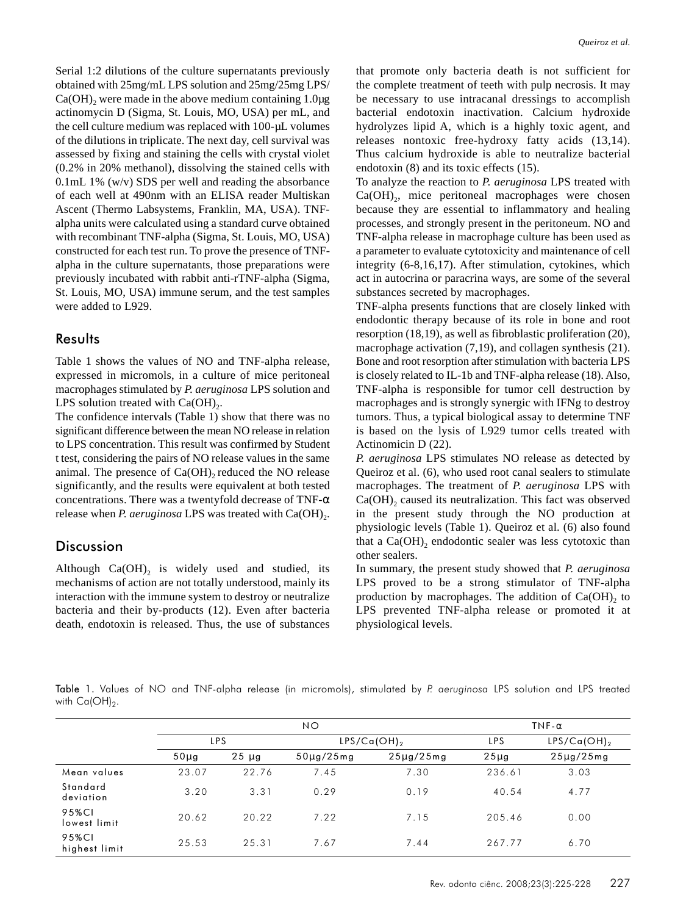Serial 1:2 dilutions of the culture supernatants previously obtained with 25mg/mL LPS solution and 25mg/25mg LPS/  $Ca(OH)$ , were made in the above medium containing 1.0 $\mu$ g actinomycin D (Sigma, St. Louis, MO, USA) per mL, and the cell culture medium was replaced with 100-µL volumes of the dilutions in triplicate. The next day, cell survival was assessed by fixing and staining the cells with crystal violet (0.2% in 20% methanol), dissolving the stained cells with 0.1mL 1% (w/v) SDS per well and reading the absorbance of each well at 490nm with an ELISA reader Multiskan Ascent (Thermo Labsystems, Franklin, MA, USA). TNFalpha units were calculated using a standard curve obtained with recombinant TNF-alpha (Sigma, St. Louis, MO, USA) constructed for each test run. To prove the presence of TNFalpha in the culture supernatants, those preparations were previously incubated with rabbit anti-rTNF-alpha (Sigma, St. Louis, MO, USA) immune serum, and the test samples were added to L929.

#### **Results**

Table 1 shows the values of NO and TNF-alpha release, expressed in micromols, in a culture of mice peritoneal macrophages stimulated by *P. aeruginosa* LPS solution and LPS solution treated with  $Ca(OH)_{2}$ .

The confidence intervals (Table 1) show that there was no significant difference between the mean NO release in relation to LPS concentration. This result was confirmed by Student t test, considering the pairs of NO release values in the same animal. The presence of  $Ca(OH)$ , reduced the NO release significantly, and the results were equivalent at both tested concentrations. There was a twentyfold decrease of TNF-α release when *P. aeruginosa* LPS was treated with Ca(OH)<sub>2</sub>.

## **Discussion**

Although  $Ca(OH)$ , is widely used and studied, its mechanisms of action are not totally understood, mainly its interaction with the immune system to destroy or neutralize bacteria and their by-products (12). Even after bacteria death, endotoxin is released. Thus, the use of substances

that promote only bacteria death is not sufficient for the complete treatment of teeth with pulp necrosis. It may be necessary to use intracanal dressings to accomplish bacterial endotoxin inactivation. Calcium hydroxide hydrolyzes lipid A, which is a highly toxic agent, and releases nontoxic free-hydroxy fatty acids (13,14). Thus calcium hydroxide is able to neutralize bacterial endotoxin (8) and its toxic effects (15).

To analyze the reaction to *P. aeruginosa* LPS treated with  $Ca(OH)_{2}$ , mice peritoneal macrophages were chosen because they are essential to inflammatory and healing processes, and strongly present in the peritoneum. NO and TNF-alpha release in macrophage culture has been used as a parameter to evaluate cytotoxicity and maintenance of cell integrity (6-8,16,17). After stimulation, cytokines, which act in autocrina or paracrina ways, are some of the several substances secreted by macrophages.

TNF-alpha presents functions that are closely linked with endodontic therapy because of its role in bone and root resorption (18,19), as well as fibroblastic proliferation (20), macrophage activation (7,19), and collagen synthesis (21). Bone and root resorption after stimulation with bacteria LPS is closely related to IL-1b and TNF-alpha release (18). Also, TNF-alpha is responsible for tumor cell destruction by macrophages and is strongly synergic with IFNg to destroy tumors. Thus, a typical biological assay to determine TNF is based on the lysis of L929 tumor cells treated with Actinomicin D (22).

*P. aeruginosa* LPS stimulates NO release as detected by Queiroz et al. (6), who used root canal sealers to stimulate macrophages. The treatment of *P. aeruginosa* LPS with  $Ca(OH)$ , caused its neutralization. This fact was observed in the present study through the NO production at physiologic levels (Table 1). Queiroz et al. (6) also found that a  $Ca(OH)$ <sub>2</sub> endodontic sealer was less cytotoxic than other sealers.

In summary, the present study showed that *P. aeruginosa* LPS proved to be a strong stimulator of TNF-alpha production by macrophages. The addition of  $Ca(OH)$ , to LPS prevented TNF-alpha release or promoted it at physiological levels.

Table 1. Values of NO and TNF-alpha release (in micromols), stimulated by P. aeruginosa LPS solution and LPS treated with  $Ca(OH)_2$ .

|                        | NO         |            |                  |                | TNF- $\alpha$ |                    |
|------------------------|------------|------------|------------------|----------------|---------------|--------------------|
|                        | <b>LPS</b> |            | $LPS/Ca(OH)_{2}$ |                | <b>LPS</b>    | $LPS/Ca(OH)_{2}$   |
|                        | $50\mu$ g  | $25 \mu g$ | $50\mu$ g/25mg   | $25\mu$ g/25mg | $25\mu$ g     | $25\mu$ g/ $25$ mg |
| Mean values            | 23.07      | 22.76      | 7.45             | 7.30           | 236.61        | 3.03               |
| Standard<br>deviation  | 3.20       | 3.31       | 0.29             | 0.19           | 40.54         | 4.77               |
| 95%CI<br>lowest limit  | 20.62      | 20.22      | 7.22             | 7.15           | 205.46        | 0.00               |
| 95%CI<br>highest limit | 25.53      | 25.31      | 7.67             | 7.44           | 267.77        | 6.70               |